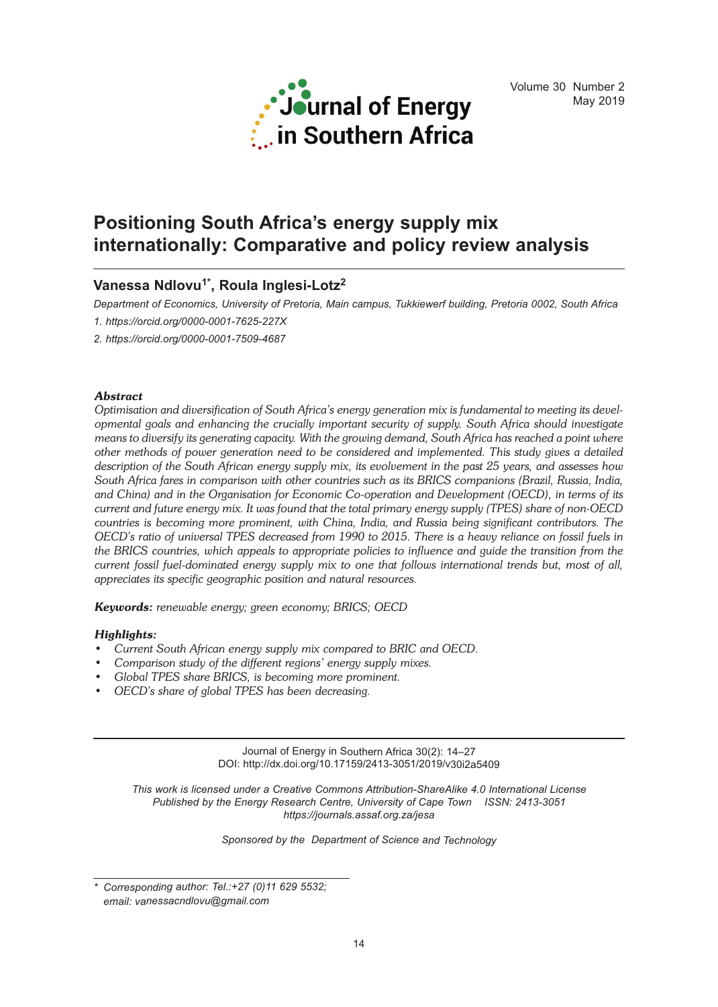

# **Positioning South Africa's energy supply mix internationally: Comparative and policy review analysis**

# **Vanessa Ndlovu1\* , Roula Inglesi-Lotz<sup>2</sup>**

*Department of Economics, University of Pretoria, Main campus, Tukkiewerf building, Pretoria 0002, South Africa*

*1. https://orcid.org/0000-0001-7625-227X*

*2. https://orcid.org/0000-0001-7509-4687*

# *Abstract*

*Optimisation and diversification of South Africa's energy generation mix is fundamental to meeting its developmental goals and enhancing the crucially important security of supply. South Africa should investigate* means to diversify its generating capacity. With the growing demand, South Africa has reached a point where *other methods of power generation need to be considered and implemented. This study gives a detailed* description of the South African energy supply mix, its evolvement in the past 25 years, and assesses how *South Africa fares in comparison with other countries such as its BRICS companions (Brazil, Russia, India, and China) and in the Organisation for Economic Co-operation and Development (OECD), in terms of its* current and future energy mix. It was found that the total primary energy supply (TPES) share of non-OECD *countries is becoming more prominent, with China, India, and Russia being significant contributors. The* OECD's ratio of universal TPES decreased from 1990 to 2015. There is a heavy reliance on fossil fuels in *the BRICS countries, which appeals to appropriate policies to influence and guide the transition from the current fossil fuel-dominated energy supply mix to one that follows international trends but, most of all, appreciates its specific geographic position and natural resources.*

*Keywords: renewable energy; green economy; BRICS; OECD*

# *Highlights:*

- *• Current South African energy supply mix compared to BRIC and OECD.*
- *• Comparison study of the different regions' energy supply mixes.*
- *• Global TPES share BRICS, is becoming more prominent.*
- *• OECD's share of global TPES has been decreasing.*

Journal of Energy in Southern Africa 30(2): 14–27 DOI: http://dx.doi.org/10.17159/2413-3051/2019/v30i2a5409

*This work is licensed under a Creative Commons Attribution-ShareAlike 4.0 International License Published by the Energy Research Centre, University of Cape Town ISSN: 2413-3051 https://journals.assaf.org.za/jesa*

*Sponsored by the Department of Science and Technology*

*<sup>\*</sup> Corresponding author: Tel.:+27 (0)11 629 5532; email: vanessacndlovu@gmail.com*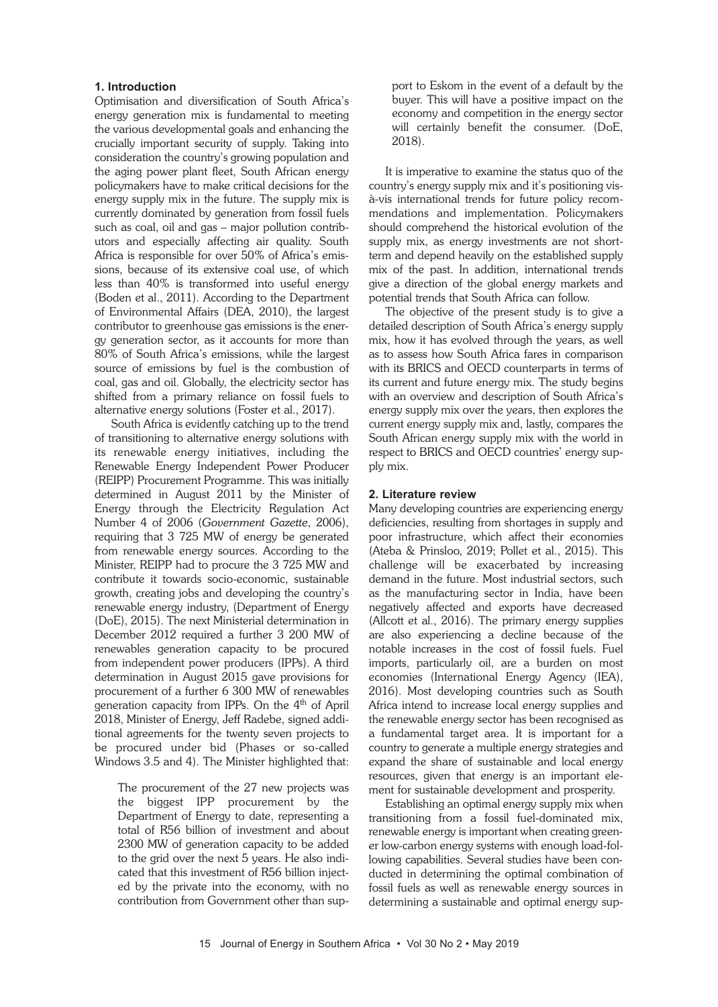#### **1. Introduction**

Optimisation and diversification of South Africa's energy generation mix is fundamental to meeting the various developmental goals and enhancing the crucially important security of supply. Taking into consideration the country's growing population and the aging power plant fleet, South African energy policymakers have to make critical decisions for the energy supply mix in the future. The supply mix is currently dominated by generation from fossil fuels such as coal, oil and gas – major pollution contributors and especially affecting air quality. South Africa is responsible for over 50% of Africa's emissions, because of its extensive coal use, of which less than 40% is transformed into useful energy (Boden et al., 2011). According to the Department of Environmental Affairs (DEA, 2010), the largest contributor to greenhouse gas emissions is the energy generation sector, as it accounts for more than 80% of South Africa's emissions, while the largest source of emissions by fuel is the combustion of coal, gas and oil. Globally, the electricity sector has shifted from a primary reliance on fossil fuels to alternative energy solutions (Foster et al., 2017).

South Africa is evidently catching up to the trend of transitioning to alternative energy solutions with its renewable energy initiatives, including the Renewable Energy Independent Power Producer (REIPP) Procurement Programme. This was initially determined in August 2011 by the Minister of Energy through the Electricity Regulation Act Number 4 of 2006 (*Government Gazette*, 2006), requiring that 3 725 MW of energy be generated from renewable energy sources. According to the Minister, REIPP had to procure the 3 725 MW and contribute it towards socio-economic, sustainable growth, creating jobs and developing the country's renewable energy industry, (Department of Energy (DoE), 2015). The next Ministerial determination in December 2012 required a further 3 200 MW of renewables generation capacity to be procured from independent power producers (IPPs). A third determination in August 2015 gave provisions for procurement of a further 6 300 MW of renewables generation capacity from IPPs. On the 4th of April 2018, Minister of Energy, Jeff Radebe, signed additional agreements for the twenty seven projects to be procured under bid (Phases or so-called Windows 3.5 and 4). The Minister highlighted that:

The procurement of the 27 new projects was the biggest IPP procurement by the Department of Energy to date, representing a total of R56 billion of investment and about 2300 MW of generation capacity to be added to the grid over the next 5 years. He also indicated that this investment of R56 billion injected by the private into the economy, with no contribution from Government other than support to Eskom in the event of a default by the buyer. This will have a positive impact on the economy and competition in the energy sector will certainly benefit the consumer. (DoE, 2018).

It is imperative to examine the status quo of the country's energy supply mix and it's positioning visà-vis international trends for future policy recommendations and implementation. Policymakers should comprehend the historical evolution of the supply mix, as energy investments are not shortterm and depend heavily on the established supply mix of the past. In addition, international trends give a direction of the global energy markets and potential trends that South Africa can follow.

The objective of the present study is to give a detailed description of South Africa's energy supply mix, how it has evolved through the years, as well as to assess how South Africa fares in comparison with its BRICS and OECD counterparts in terms of its current and future energy mix. The study begins with an overview and description of South Africa's energy supply mix over the years, then explores the current energy supply mix and, lastly, compares the South African energy supply mix with the world in respect to BRICS and OECD countries' energy supply mix.

#### **2. Literature review**

Many developing countries are experiencing energy deficiencies, resulting from shortages in supply and poor infrastructure, which affect their economies (Ateba & Prinsloo, 2019; Pollet et al., 2015). This challenge will be exacerbated by increasing demand in the future. Most industrial sectors, such as the manufacturing sector in India, have been negatively affected and exports have decreased (Allcott et al., 2016). The primary energy supplies are also experiencing a decline because of the notable increases in the cost of fossil fuels. Fuel imports, particularly oil, are a burden on most economies (International Energy Agency (IEA), 2016). Most developing countries such as South Africa intend to increase local energy supplies and the renewable energy sector has been recognised as a fundamental target area. It is important for a country to generate a multiple energy strategies and expand the share of sustainable and local energy resources, given that energy is an important element for sustainable development and prosperity.

Establishing an optimal energy supply mix when transitioning from a fossil fuel-dominated mix, renewable energy is important when creating greener low-carbon energy systems with enough load-following capabilities. Several studies have been conducted in determining the optimal combination of fossil fuels as well as renewable energy sources in determining a sustainable and optimal energy sup-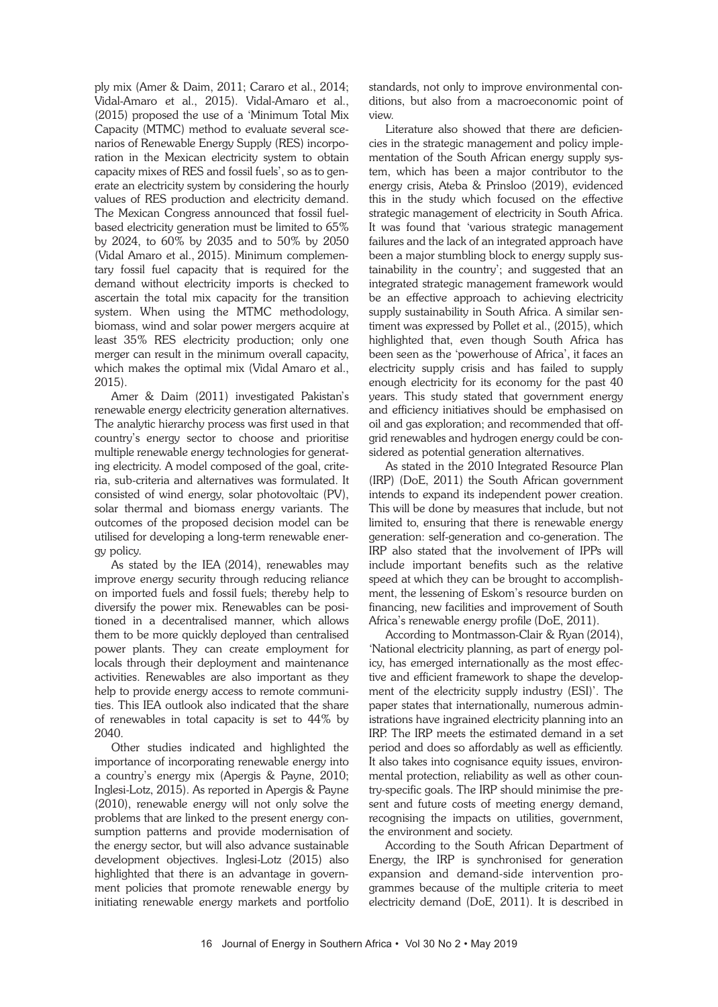ply mix (Amer & Daim, 2011; Cararo et al., 2014; Vidal-Amaro et al., 2015). Vidal-Amaro et al., (2015) proposed the use of a 'Minimum Total Mix Capacity (MTMC) method to evaluate several scenarios of Renewable Energy Supply (RES) incorporation in the Mexican electricity system to obtain capacity mixes of RES and fossil fuels', so as to generate an electricity system by considering the hourly values of RES production and electricity demand. The Mexican Congress announced that fossil fuelbased electricity generation must be limited to 65% by 2024, to 60% by 2035 and to 50% by 2050 (Vidal Amaro et al., 2015). Minimum complementary fossil fuel capacity that is required for the demand without electricity imports is checked to ascertain the total mix capacity for the transition system. When using the MTMC methodology, biomass, wind and solar power mergers acquire at least 35% RES electricity production; only one merger can result in the minimum overall capacity, which makes the optimal mix (Vidal Amaro et al., 2015).

Amer & Daim (2011) investigated Pakistan's renewable energy electricity generation alternatives. The analytic hierarchy process was first used in that country's energy sector to choose and prioritise multiple renewable energy technologies for generating electricity. A model composed of the goal, criteria, sub-criteria and alternatives was formulated. It consisted of wind energy, solar photovoltaic (PV), solar thermal and biomass energy variants. The outcomes of the proposed decision model can be utilised for developing a long-term renewable energy policy.

As stated by the IEA (2014), renewables may improve energy security through reducing reliance on imported fuels and fossil fuels; thereby help to diversify the power mix. Renewables can be positioned in a decentralised manner, which allows them to be more quickly deployed than centralised power plants. They can create employment for locals through their deployment and maintenance activities. Renewables are also important as they help to provide energy access to remote communities. This IEA outlook also indicated that the share of renewables in total capacity is set to 44% by 2040.

Other studies indicated and highlighted the importance of incorporating renewable energy into a country's energy mix (Apergis & Payne, 2010; Inglesi-Lotz, 2015). As reported in Apergis & Payne (2010), renewable energy will not only solve the problems that are linked to the present energy consumption patterns and provide modernisation of the energy sector, but will also advance sustainable development objectives. Inglesi-Lotz (2015) also highlighted that there is an advantage in government policies that promote renewable energy by initiating renewable energy markets and portfolio standards, not only to improve environmental conditions, but also from a macroeconomic point of view.

Literature also showed that there are deficiencies in the strategic management and policy implementation of the South African energy supply system, which has been a major contributor to the energy crisis, Ateba & Prinsloo (2019), evidenced this in the study which focused on the effective strategic management of electricity in South Africa. It was found that 'various strategic management failures and the lack of an integrated approach have been a major stumbling block to energy supply sustainability in the country'; and suggested that an integrated strategic management framework would be an effective approach to achieving electricity supply sustainability in South Africa. A similar sentiment was expressed by Pollet et al., (2015), which highlighted that, even though South Africa has been seen as the 'powerhouse of Africa', it faces an electricity supply crisis and has failed to supply enough electricity for its economy for the past 40 years. This study stated that government energy and efficiency initiatives should be emphasised on oil and gas exploration; and recommended that offgrid renewables and hydrogen energy could be considered as potential generation alternatives.

As stated in the 2010 Integrated Resource Plan (IRP) (DoE, 2011) the South African government intends to expand its independent power creation. This will be done by measures that include, but not limited to, ensuring that there is renewable energy generation: self-generation and co-generation. The IRP also stated that the involvement of IPPs will include important benefits such as the relative speed at which they can be brought to accomplishment, the lessening of Eskom's resource burden on financing, new facilities and improvement of South Africa's renewable energy profile (DoE, 2011).

According to Montmasson-Clair & Ryan (2014), 'National electricity planning, as part of energy policy, has emerged internationally as the most effective and efficient framework to shape the development of the electricity supply industry (ESI)'. The paper states that internationally, numerous administrations have ingrained electricity planning into an IRP. The IRP meets the estimated demand in a set period and does so affordably as well as efficiently. It also takes into cognisance equity issues, environmental protection, reliability as well as other country-specific goals. The IRP should minimise the present and future costs of meeting energy demand, recognising the impacts on utilities, government, the environment and society.

According to the South African Department of Energy, the IRP is synchronised for generation expansion and demand-side intervention programmes because of the multiple criteria to meet electricity demand (DoE, 2011). It is described in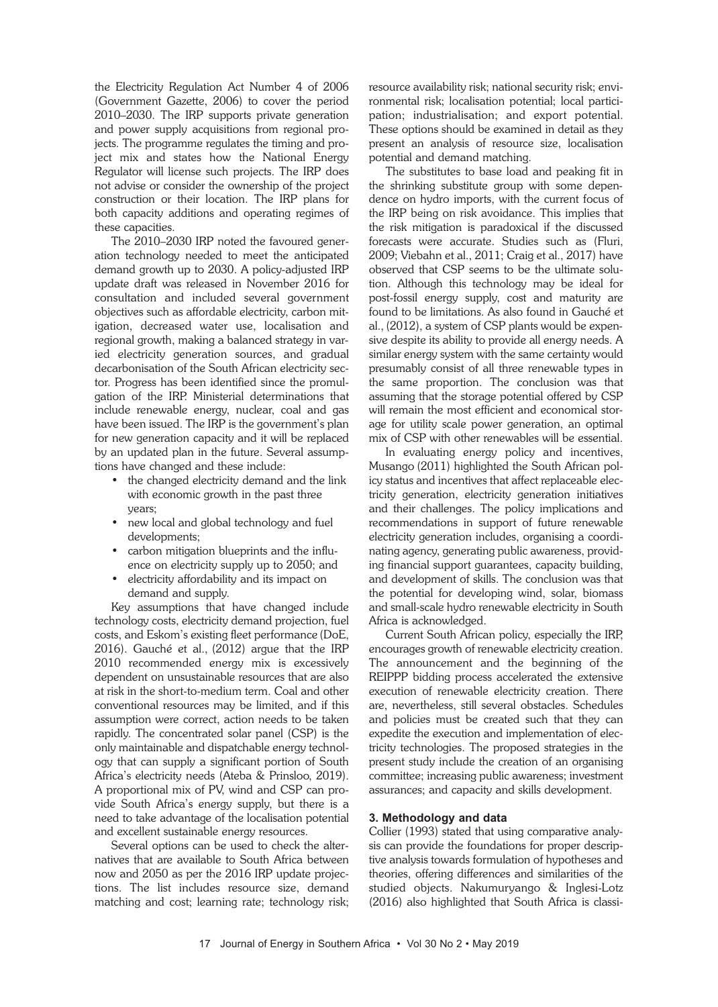the Electricity Regulation Act Number 4 of 2006 (Government Gazette, 2006) to cover the period 2010–2030. The IRP supports private generation and power supply acquisitions from regional projects. The programme regulates the timing and project mix and states how the National Energy Regulator will license such projects. The IRP does not advise or consider the ownership of the project construction or their location. The IRP plans for both capacity additions and operating regimes of these capacities.

The 2010–2030 IRP noted the favoured generation technology needed to meet the anticipated demand growth up to 2030. A policy-adjusted IRP update draft was released in November 2016 for consultation and included several government objectives such as affordable electricity, carbon mitigation, decreased water use, localisation and regional growth, making a balanced strategy in varied electricity generation sources, and gradual decarbonisation of the South African electricity sector. Progress has been identified since the promulgation of the IRP. Ministerial determinations that include renewable energy, nuclear, coal and gas have been issued. The IRP is the government's plan for new generation capacity and it will be replaced by an updated plan in the future. Several assumptions have changed and these include:

- the changed electricity demand and the link with economic growth in the past three years;
- new local and global technology and fuel developments;
- carbon mitigation blueprints and the influence on electricity supply up to 2050; and
- electricity affordability and its impact on demand and supply.

Key assumptions that have changed include technology costs, electricity demand projection, fuel costs, and Eskom's existing fleet performance (DoE, 2016). Gauché et al., (2012) argue that the IRP 2010 recommended energy mix is excessively dependent on unsustainable resources that are also at risk in the short-to-medium term. Coal and other conventional resources may be limited, and if this assumption were correct, action needs to be taken rapidly. The concentrated solar panel (CSP) is the only maintainable and dispatchable energy technology that can supply a significant portion of South Africa's electricity needs (Ateba & Prinsloo, 2019). A proportional mix of PV, wind and CSP can provide South Africa's energy supply, but there is a need to take advantage of the localisation potential and excellent sustainable energy resources.

Several options can be used to check the alternatives that are available to South Africa between now and 2050 as per the 2016 IRP update projections. The list includes resource size, demand matching and cost; learning rate; technology risk; resource availability risk; national security risk; environmental risk; localisation potential; local participation; industrialisation; and export potential. These options should be examined in detail as they present an analysis of resource size, localisation potential and demand matching.

The substitutes to base load and peaking fit in the shrinking substitute group with some dependence on hydro imports, with the current focus of the IRP being on risk avoidance. This implies that the risk mitigation is paradoxical if the discussed forecasts were accurate. Studies such as (Fluri, 2009; Viebahn et al., 2011; Craig et al., 2017) have observed that CSP seems to be the ultimate solution. Although this technology may be ideal for post-fossil energy supply, cost and maturity are found to be limitations. As also found in Gauché et al., (2012), a system of CSP plants would be expensive despite its ability to provide all energy needs. A similar energy system with the same certainty would presumably consist of all three renewable types in the same proportion. The conclusion was that assuming that the storage potential offered by CSP will remain the most efficient and economical storage for utility scale power generation, an optimal mix of CSP with other renewables will be essential.

In evaluating energy policy and incentives, Musango (2011) highlighted the South African policy status and incentives that affect replaceable electricity generation, electricity generation initiatives and their challenges. The policy implications and recommendations in support of future renewable electricity generation includes, organising a coordinating agency, generating public awareness, providing financial support guarantees, capacity building, and development of skills. The conclusion was that the potential for developing wind, solar, biomass and small-scale hydro renewable electricity in South Africa is acknowledged.

Current South African policy, especially the IRP, encourages growth of renewable electricity creation. The announcement and the beginning of the REIPPP bidding process accelerated the extensive execution of renewable electricity creation. There are, nevertheless, still several obstacles. Schedules and policies must be created such that they can expedite the execution and implementation of electricity technologies. The proposed strategies in the present study include the creation of an organising committee; increasing public awareness; investment assurances; and capacity and skills development.

## **3. Methodology and data**

Collier (1993) stated that using comparative analysis can provide the foundations for proper descriptive analysis towards formulation of hypotheses and theories, offering differences and similarities of the studied objects. Nakumuryango & Inglesi-Lotz (2016) also highlighted that South Africa is classi-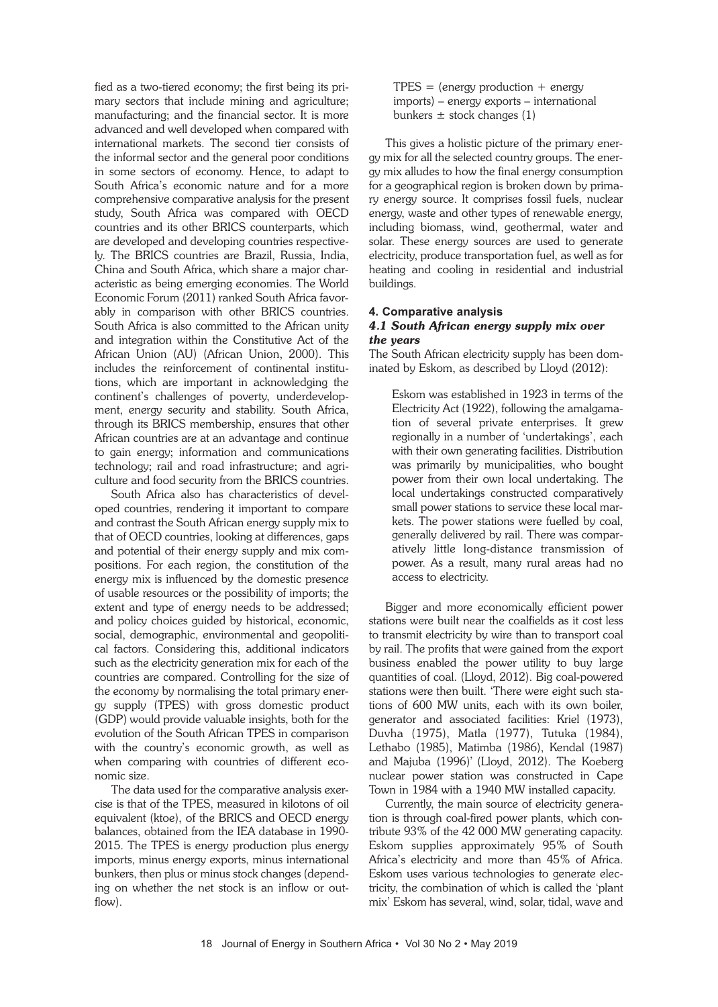fied as a two-tiered economy; the first being its primary sectors that include mining and agriculture; manufacturing; and the financial sector. It is more advanced and well developed when compared with international markets. The second tier consists of the informal sector and the general poor conditions in some sectors of economy. Hence, to adapt to South Africa's economic nature and for a more comprehensive comparative analysis for the present study, South Africa was compared with OECD countries and its other BRICS counterparts, which are developed and developing countries respectively. The BRICS countries are Brazil, Russia, India, China and South Africa, which share a major characteristic as being emerging economies. The World Economic Forum (2011) ranked South Africa favorably in comparison with other BRICS countries. South Africa is also committed to the African unity and integration within the Constitutive Act of the African Union (AU) (African Union, 2000). This includes the reinforcement of continental institutions, which are important in acknowledging the continent's challenges of poverty, underdevelopment, energy security and stability. South Africa, through its BRICS membership, ensures that other African countries are at an advantage and continue to gain energy; information and communications technology; rail and road infrastructure; and agriculture and food security from the BRICS countries.

South Africa also has characteristics of developed countries, rendering it important to compare and contrast the South African energy supply mix to that of OECD countries, looking at differences, gaps and potential of their energy supply and mix compositions. For each region, the constitution of the energy mix is influenced by the domestic presence of usable resources or the possibility of imports; the extent and type of energy needs to be addressed; and policy choices guided by historical, economic, social, demographic, environmental and geopolitical factors. Considering this, additional indicators such as the electricity generation mix for each of the countries are compared. Controlling for the size of the economy by normalising the total primary energy supply (TPES) with gross domestic product (GDP) would provide valuable insights, both for the evolution of the South African TPES in comparison with the country's economic growth, as well as when comparing with countries of different economic size.

The data used for the comparative analysis exercise is that of the TPES, measured in kilotons of oil equivalent (ktoe), of the BRICS and OECD energy balances, obtained from the IEA database in 1990- 2015. The TPES is energy production plus energy imports, minus energy exports, minus international bunkers, then plus or minus stock changes (depending on whether the net stock is an inflow or outflow).

 $TPES = (energy production + energy)$  imports) – energy exports – international bunkers  $\pm$  stock changes (1)

This gives a holistic picture of the primary energy mix for all the selected country groups. The energy mix alludes to how the final energy consumption for a geographical region is broken down by primary energy source. It comprises fossil fuels, nuclear energy, waste and other types of renewable energy, including biomass, wind, geothermal, water and solar. These energy sources are used to generate electricity, produce transportation fuel, as well as for heating and cooling in residential and industrial buildings.

#### **4. Comparative analysis** *4.1 South African energy supply mix over the years*

The South African electricity supply has been dominated by Eskom, as described by Lloyd (2012):

Eskom was established in 1923 in terms of the Electricity Act (1922), following the amalgamation of several private enterprises. It grew regionally in a number of 'undertakings', each with their own generating facilities. Distribution was primarily by municipalities, who bought power from their own local undertaking. The local undertakings constructed comparatively small power stations to service these local markets. The power stations were fuelled by coal, generally delivered by rail. There was comparatively little long-distance transmission of power. As a result, many rural areas had no access to electricity.

Bigger and more economically efficient power stations were built near the coalfields as it cost less to transmit electricity by wire than to transport coal by rail. The profits that were gained from the export business enabled the power utility to buy large quantities of coal. (Lloyd, 2012). Big coal-powered stations were then built. 'There were eight such stations of 600 MW units, each with its own boiler, generator and associated facilities: Kriel (1973), Duvha (1975), Matla (1977), Tutuka (1984), Lethabo (1985), Matimba (1986), Kendal (1987) and Majuba (1996)' (Lloyd, 2012). The Koeberg nuclear power station was constructed in Cape Town in 1984 with a 1940 MW installed capacity.

Currently, the main source of electricity generation is through coal-fired power plants, which contribute 93% of the 42 000 MW generating capacity. Eskom supplies approximately 95% of South Africa's electricity and more than 45% of Africa. Eskom uses various technologies to generate electricity, the combination of which is called the 'plant mix' Eskom has several, wind, solar, tidal, wave and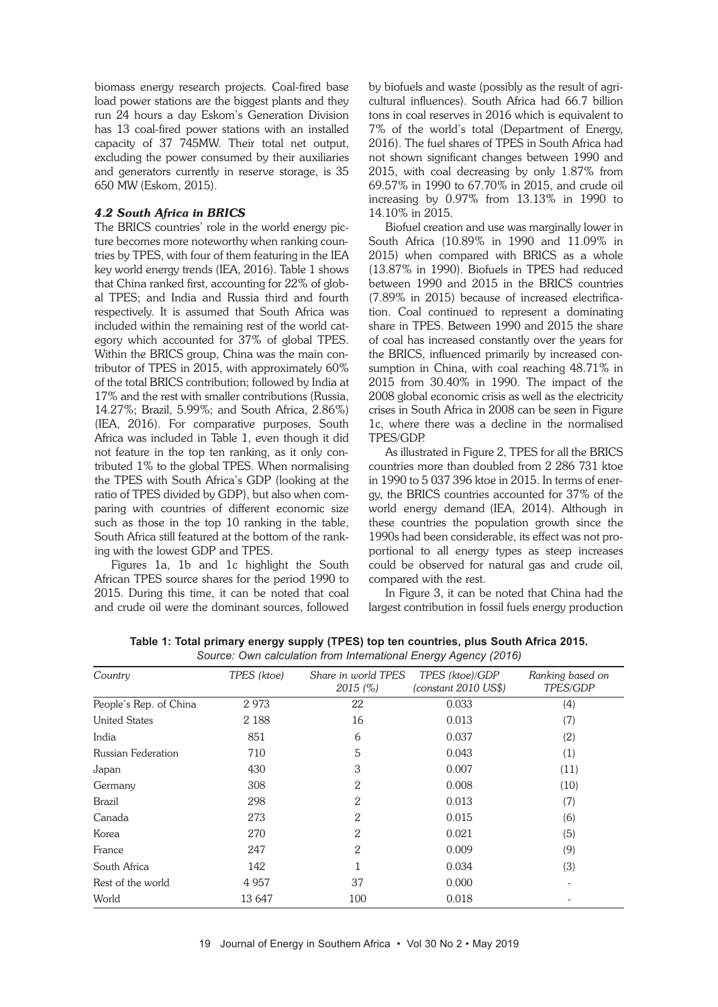biomass energy research projects. Coal-fired base load power stations are the biggest plants and they run 24 hours a day Eskom's Generation Division has 13 coal-fired power stations with an installed capacity of 37 745MW. Their total net output, excluding the power consumed by their auxiliaries and generators currently in reserve storage, is 35 650 MW (Eskom, 2015).

# *4.2 South Africa in BRICS*

The BRICS countries' role in the world energy picture becomes more noteworthy when ranking countries by TPES, with four of them featuring in the IEA key world energy trends (IEA, 2016). Table 1 shows that China ranked first, accounting for 22% of global TPES; and India and Russia third and fourth respectively. It is assumed that South Africa was included within the remaining rest of the world category which accounted for 37% of global TPES. Within the BRICS group, China was the main contributor of TPES in 2015, with approximately 60% of the total BRICS contribution; followed by India at 17% and the rest with smaller contributions (Russia, 14.27%; Brazil, 5.99%; and South Africa, 2.86%) (IEA, 2016). For comparative purposes, South Africa was included in Table 1, even though it did not feature in the top ten ranking, as it only contributed 1% to the global TPES. When normalising the TPES with South Africa's GDP (looking at the ratio of TPES divided by GDP), but also when comparing with countries of different economic size such as those in the top 10 ranking in the table, South Africa still featured at the bottom of the ranking with the lowest GDP and TPES.

Figures 1a, 1b and 1c highlight the South African TPES source shares for the period 1990 to 2015. During this time, it can be noted that coal and crude oil were the dominant sources, followed by biofuels and waste (possibly as the result of agricultural influences). South Africa had 66.7 billion tons in coal reserves in 2016 which is equivalent to 7% of the world's total (Department of Energy, 2016). The fuel shares of TPES in South Africa had not shown significant changes between 1990 and 2015, with coal decreasing by only 1.87% from 69.57% in 1990 to 67.70% in 2015, and crude oil increasing by 0.97% from 13.13% in 1990 to 14.10% in 2015.

Biofuel creation and use was marginally lower in South Africa (10.89% in 1990 and 11.09% in 2015) when compared with BRICS as a whole (13.87% in 1990). Biofuels in TPES had reduced between 1990 and 2015 in the BRICS countries (7.89% in 2015) because of increased electrification. Coal continued to represent a dominating share in TPES. Between 1990 and 2015 the share of coal has increased constantly over the years for the BRICS, influenced primarily by increased consumption in China, with coal reaching 48.71% in 2015 from 30.40% in 1990. The impact of the 2008 global economic crisis as well as the electricity crises in South Africa in 2008 can be seen in Figure 1c, where there was a decline in the normalised TPES/GDP.

As illustrated in Figure 2, TPES for all the BRICS countries more than doubled from 2 286 731 ktoe in 1990 to 5 037 396 ktoe in 2015. In terms of energy, the BRICS countries accounted for 37% of the world energy demand (IEA, 2014). Although in these countries the population growth since the 1990s had been considerable, its effect was not proportional to all energy types as steep increases could be observed for natural gas and crude oil, compared with the rest.

In Figure 3, it can be noted that China had the largest contribution in fossil fuels energy production

| TPES (ktoe)<br>Share in world TPES<br>TPES (ktoe)/GDP<br>Ranking based on<br>2015 (%)<br>(constant 2010 US\$)<br>TPES/GDP<br>2973<br>22<br>0.033<br>(4)<br>2 1 8 8<br>16<br>0.013<br>(7)<br>851<br>0.037<br>6<br>(2)<br>5<br>0.043<br>710<br>(1)<br>3<br>430<br>0.007<br>(11)<br>308<br>2<br>0.008<br>(10)<br>298<br>2<br>0.013<br>(7)<br>273<br>2<br>0.015<br>(6)<br>270<br>2<br>0.021<br>(5)<br>2<br>247<br>0.009<br>(9)<br>142<br>0.034<br>(3)<br>37<br>0.000<br>4 9 5 7<br>$\overline{a}$<br>13 647<br>100<br>0.018 |                        |  |  |  |
|-------------------------------------------------------------------------------------------------------------------------------------------------------------------------------------------------------------------------------------------------------------------------------------------------------------------------------------------------------------------------------------------------------------------------------------------------------------------------------------------------------------------------|------------------------|--|--|--|
|                                                                                                                                                                                                                                                                                                                                                                                                                                                                                                                         | Country                |  |  |  |
|                                                                                                                                                                                                                                                                                                                                                                                                                                                                                                                         | People's Rep. of China |  |  |  |
|                                                                                                                                                                                                                                                                                                                                                                                                                                                                                                                         | <b>United States</b>   |  |  |  |
|                                                                                                                                                                                                                                                                                                                                                                                                                                                                                                                         | India                  |  |  |  |
|                                                                                                                                                                                                                                                                                                                                                                                                                                                                                                                         | Russian Federation     |  |  |  |
|                                                                                                                                                                                                                                                                                                                                                                                                                                                                                                                         | Japan                  |  |  |  |
|                                                                                                                                                                                                                                                                                                                                                                                                                                                                                                                         | Germany                |  |  |  |
|                                                                                                                                                                                                                                                                                                                                                                                                                                                                                                                         | <b>Brazil</b>          |  |  |  |
|                                                                                                                                                                                                                                                                                                                                                                                                                                                                                                                         | Canada                 |  |  |  |
|                                                                                                                                                                                                                                                                                                                                                                                                                                                                                                                         | Korea                  |  |  |  |
|                                                                                                                                                                                                                                                                                                                                                                                                                                                                                                                         | France                 |  |  |  |
|                                                                                                                                                                                                                                                                                                                                                                                                                                                                                                                         | South Africa           |  |  |  |
|                                                                                                                                                                                                                                                                                                                                                                                                                                                                                                                         | Rest of the world      |  |  |  |
|                                                                                                                                                                                                                                                                                                                                                                                                                                                                                                                         | World                  |  |  |  |

**Table 1: Total primary energy supply (TPES) top ten countries, plus South Africa 2015.** *Source: Own calculation from International Energy Agency (2016)*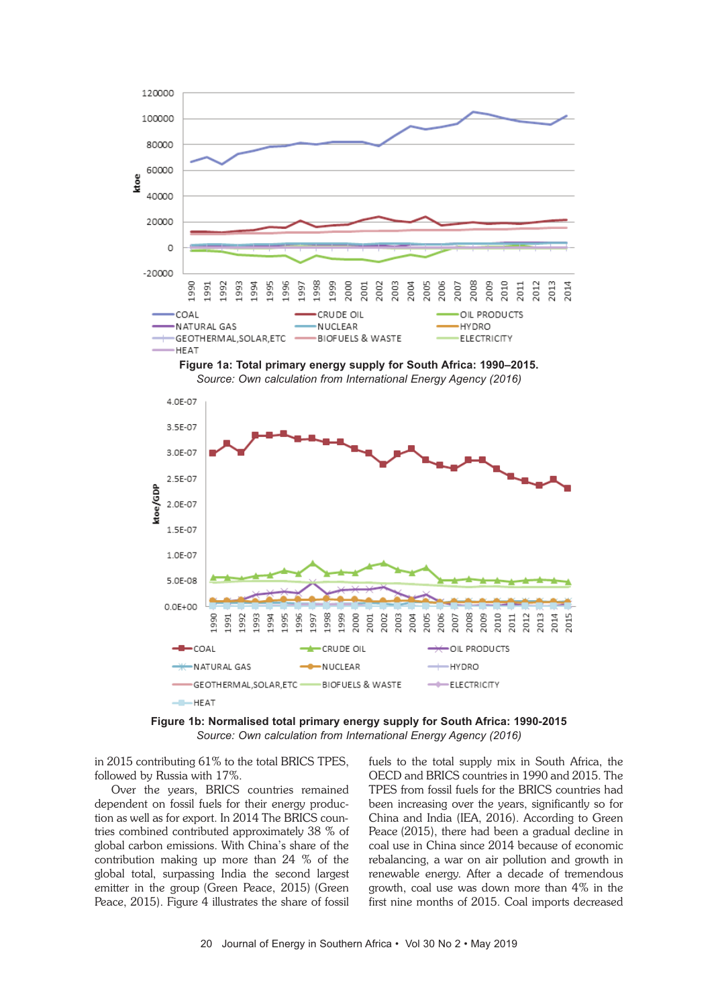

**Figure 1b: Normalised total primary energy supply for South Africa: 1990-2015** *Source: Own calculation from International Energy Agency (2016)*

in 2015 contributing 61% to the total BRICS TPES, followed by Russia with 17%.

Over the years, BRICS countries remained dependent on fossil fuels for their energy production as well as for export. In 2014 The BRICS countries combined contributed approximately 38 % of global carbon emissions. With China's share of the contribution making up more than 24 % of the global total, surpassing India the second largest emitter in the group (Green Peace, 2015) (Green Peace, 2015). Figure 4 illustrates the share of fossil fuels to the total supply mix in South Africa, the OECD and BRICS countries in 1990 and 2015. The TPES from fossil fuels for the BRICS countries had been increasing over the years, significantly so for China and India (IEA, 2016). According to Green Peace (2015), there had been a gradual decline in coal use in China since 2014 because of economic rebalancing, a war on air pollution and growth in renewable energy. After a decade of tremendous growth, coal use was down more than 4% in the first nine months of 2015. Coal imports decreased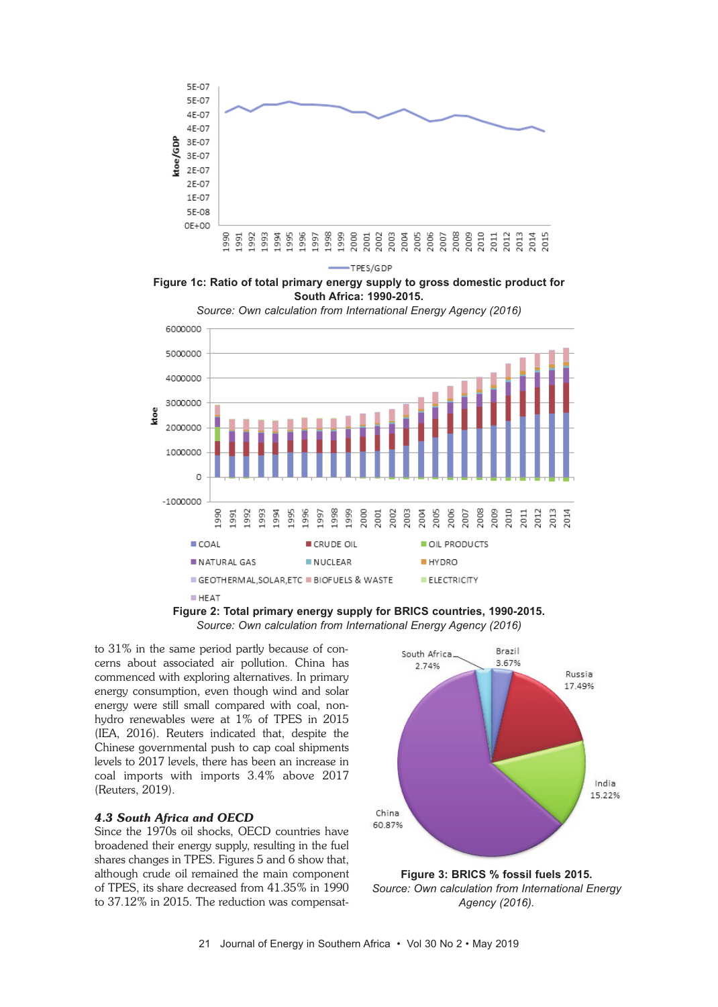

-TPES/GDP

**Figure 1c: Ratio of total primary energy supply to gross domestic product for South Africa: 1990-2015.** *Source: Own calculation from International Energy Agency (2016)*



**Figure 2: Total primary energy supply for BRICS countries, 1990-2015.** *Source: Own calculation from International Energy Agency (2016)*

to 31% in the same period partly because of concerns about associated air pollution. China has commenced with exploring alternatives. In primary energy consumption, even though wind and solar energy were still small compared with coal, nonhydro renewables were at 1% of TPES in 2015 (IEA, 2016). Reuters indicated that, despite the Chinese governmental push to cap coal shipments levels to 2017 levels, there has been an increase in coal imports with imports 3.4% above 2017 (Reuters, 2019).

## *4.3 South Africa and OECD*

Since the 1970s oil shocks, OECD countries have broadened their energy supply, resulting in the fuel shares changes in TPES. Figures 5 and 6 show that, although crude oil remained the main component of TPES, its share decreased from 41.35% in 1990 to 37.12% in 2015. The reduction was compensat-



**Figure 3: BRICS % fossil fuels 2015.** *Source: Own calculation from International Energy Agency (2016).*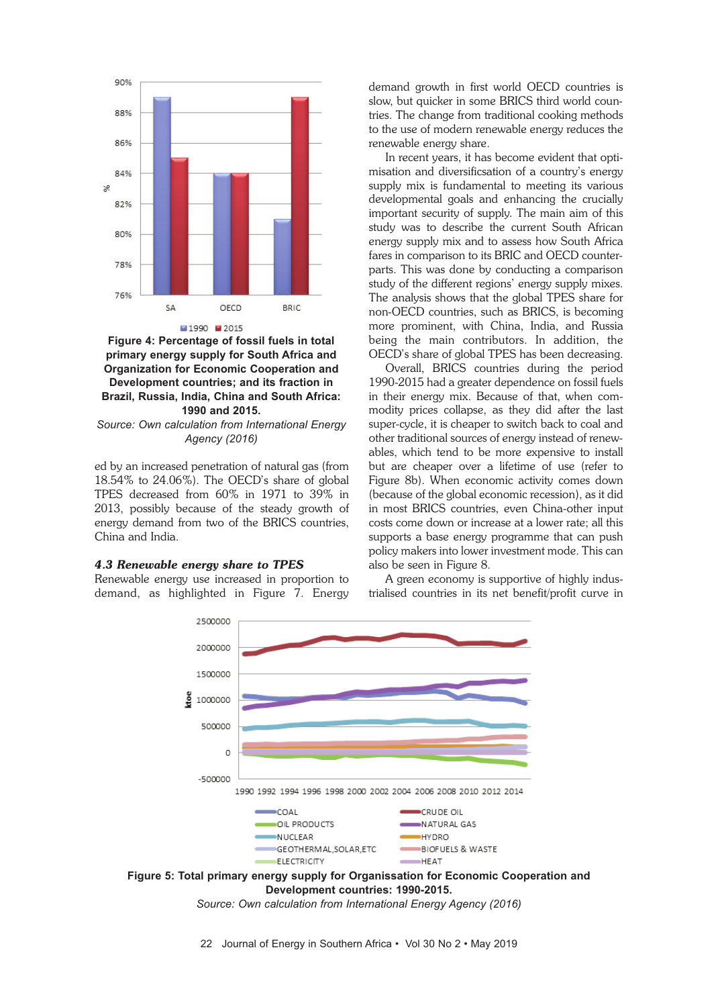

**Figure 4: Percentage of fossil fuels in total primary energy supply for South Africa and Organization for Economic Cooperation and Development countries; and its fraction in Brazil, Russia, India, China and South Africa: 1990 and 2015.**

*Source: Own calculation from International Energy Agency (2016)*

ed by an increased penetration of natural gas (from 18.54% to 24.06%). The OECD's share of global TPES decreased from 60% in 1971 to 39% in 2013, possibly because of the steady growth of energy demand from two of the BRICS countries, China and India.

#### *4.3 Renewable energy share to TPES*

Renewable energy use increased in proportion to demand, as highlighted in Figure 7. Energy

demand growth in first world OECD countries is slow, but quicker in some BRICS third world countries. The change from traditional cooking methods to the use of modern renewable energy reduces the renewable energy share.

In recent years, it has become evident that optimisation and diversificsation of a country's energy supply mix is fundamental to meeting its various developmental goals and enhancing the crucially important security of supply. The main aim of this study was to describe the current South African energy supply mix and to assess how South Africa fares in comparison to its BRIC and OECD counterparts. This was done by conducting a comparison study of the different regions' energy supply mixes. The analysis shows that the global TPES share for non-OECD countries, such as BRICS, is becoming more prominent, with China, India, and Russia being the main contributors. In addition, the OECD's share of global TPES has been decreasing.

Overall, BRICS countries during the period 1990-2015 had a greater dependence on fossil fuels in their energy mix. Because of that, when commodity prices collapse, as they did after the last super-cycle, it is cheaper to switch back to coal and other traditional sources of energy instead of renewables, which tend to be more expensive to install but are cheaper over a lifetime of use (refer to Figure 8b). When economic activity comes down (because of the global economic recession), as it did in most BRICS countries, even China-other input costs come down or increase at a lower rate; all this supports a base energy programme that can push policy makers into lower investment mode. This can also be seen in Figure 8.

A green economy is supportive of highly industrialised countries in its net benefit/profit curve in



**Development countries: 1990-2015.**

*Source: Own calculation from International Energy Agency (2016)*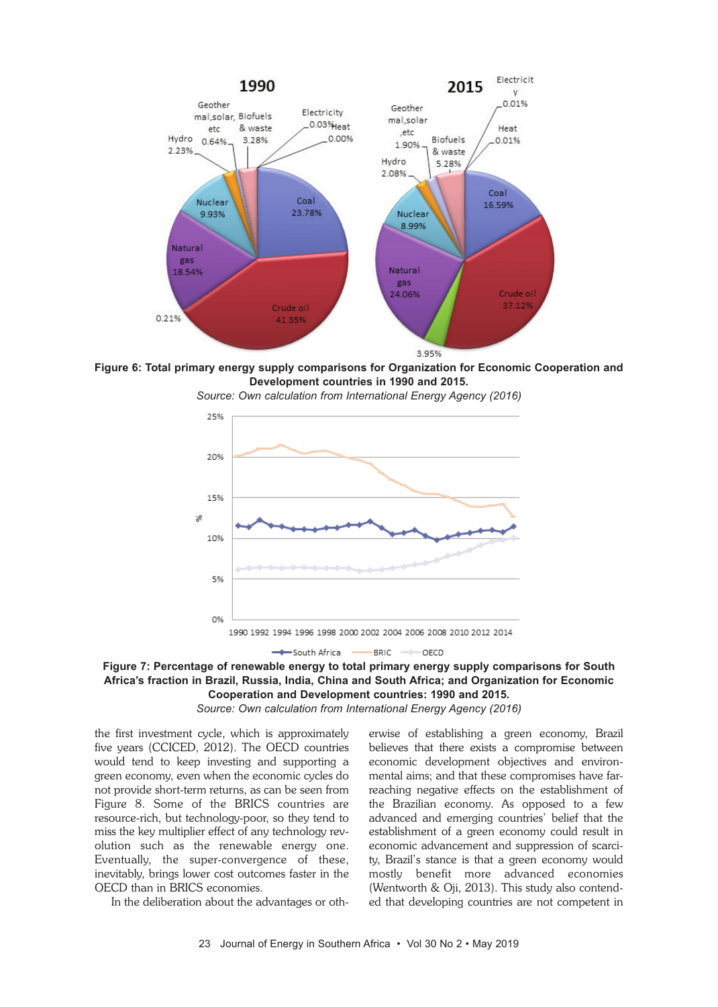

**Figure 6: Total primary energy supply comparisons for Organization for Economic Cooperation and Development countries in 1990 and 2015.**



*Source: Own calculation from International Energy Agency (2016)*

**Figure 7: Percentage of renewable energy to total primary energy supply comparisons for South Africa's fraction in Brazil, Russia, India, China and South Africa; and Organization for Economic Cooperation and Development countries: 1990 and 2015.**

*Source: Own calculation from International Energy Agency (2016)*

the first investment cycle, which is approximately five years (CCICED, 2012). The OECD countries would tend to keep investing and supporting a green economy, even when the economic cycles do not provide short-term returns, as can be seen from Figure 8. Some of the BRICS countries are resource-rich, but technology-poor, so they tend to miss the key multiplier effect of any technology revolution such as the renewable energy one. Eventually, the super-convergence of these, inevitably, brings lower cost outcomes faster in the OECD than in BRICS economies.

In the deliberation about the advantages or oth-

erwise of establishing a green economy, Brazil believes that there exists a compromise between economic development objectives and environmental aims; and that these compromises have farreaching negative effects on the establishment of the Brazilian economy. As opposed to a few advanced and emerging countries' belief that the establishment of a green economy could result in economic advancement and suppression of scarcity, Brazil's stance is that a green economy would mostly benefit more advanced economies (Wentworth & Oji, 2013). This study also contended that developing countries are not competent in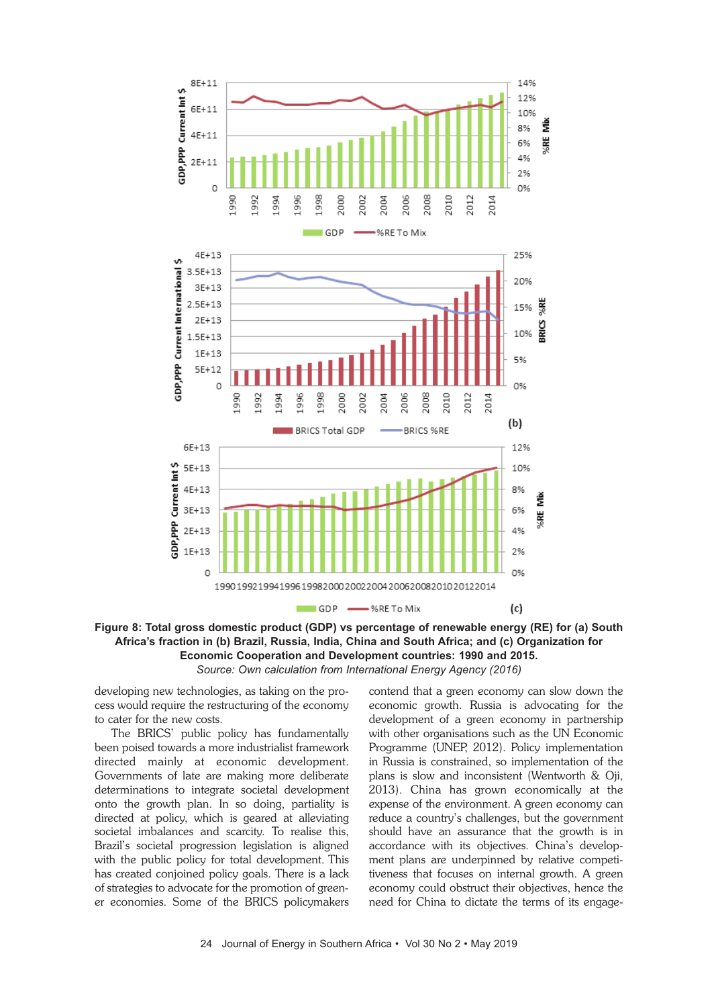

**Figure 8: Total gross domestic product (GDP) vs percentage of renewable energy (RE) for (a) South Africa's fraction in (b) Brazil, Russia, India, China and South Africa; and (c) Organization for Economic Cooperation and Development countries: 1990 and 2015.** *Source: Own calculation from International Energy Agency (2016)*

developing new technologies, as taking on the process would require the restructuring of the economy to cater for the new costs.

The BRICS' public policy has fundamentally been poised towards a more industrialist framework directed mainly at economic development. Governments of late are making more deliberate determinations to integrate societal development onto the growth plan. In so doing, partiality is directed at policy, which is geared at alleviating societal imbalances and scarcity. To realise this, Brazil's societal progression legislation is aligned with the public policy for total development. This has created conjoined policy goals. There is a lack of strategies to advocate for the promotion of greener economies. Some of the BRICS policymakers

contend that a green economy can slow down the economic growth. Russia is advocating for the development of a green economy in partnership with other organisations such as the UN Economic Programme (UNEP, 2012). Policy implementation in Russia is constrained, so implementation of the plans is slow and inconsistent (Wentworth & Oji, 2013). China has grown economically at the expense of the environment. A green economy can reduce a country's challenges, but the government should have an assurance that the growth is in accordance with its objectives. China's development plans are underpinned by relative competitiveness that focuses on internal growth. A green economy could obstruct their objectives, hence the need for China to dictate the terms of its engage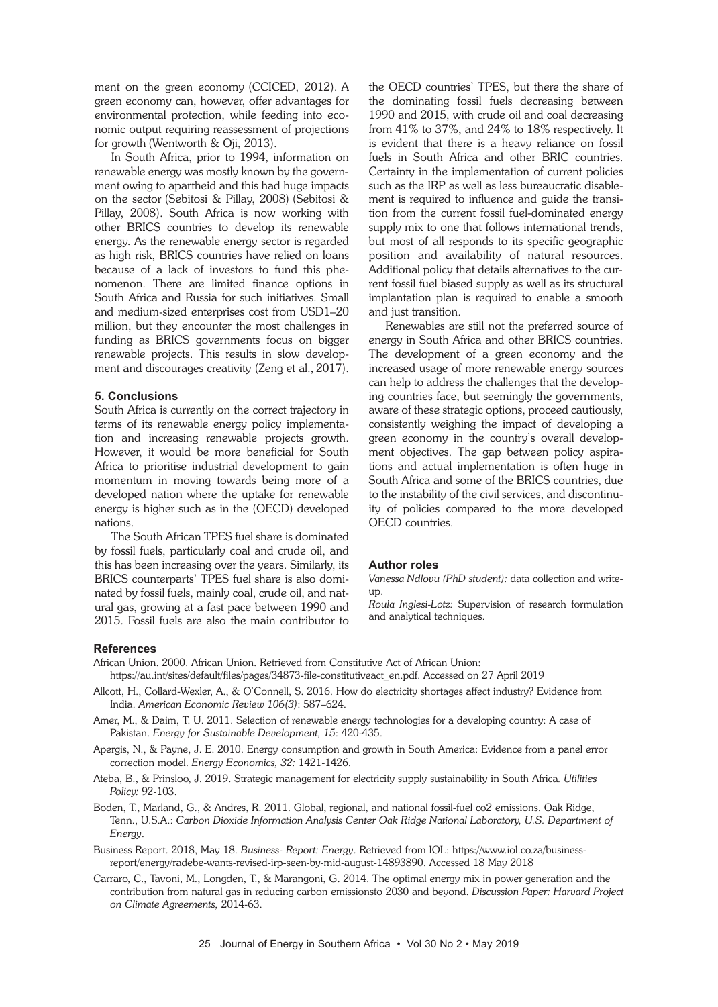ment on the green economy (CCICED, 2012). A green economy can, however, offer advantages for environmental protection, while feeding into economic output requiring reassessment of projections for growth (Wentworth & Oji, 2013).

In South Africa, prior to 1994, information on renewable energy was mostly known by the government owing to apartheid and this had huge impacts on the sector (Sebitosi & Pillay, 2008) (Sebitosi & Pillay, 2008). South Africa is now working with other BRICS countries to develop its renewable energy. As the renewable energy sector is regarded as high risk, BRICS countries have relied on loans because of a lack of investors to fund this phenomenon. There are limited finance options in South Africa and Russia for such initiatives. Small and medium-sized enterprises cost from USD1–20 million, but they encounter the most challenges in funding as BRICS governments focus on bigger renewable projects. This results in slow development and discourages creativity (Zeng et al., 2017).

#### **5. Conclusions**

South Africa is currently on the correct trajectory in terms of its renewable energy policy implementation and increasing renewable projects growth. However, it would be more beneficial for South Africa to prioritise industrial development to gain momentum in moving towards being more of a developed nation where the uptake for renewable energy is higher such as in the (OECD) developed nations.

The South African TPES fuel share is dominated by fossil fuels, particularly coal and crude oil, and this has been increasing over the years. Similarly, its BRICS counterparts' TPES fuel share is also dominated by fossil fuels, mainly coal, crude oil, and natural gas, growing at a fast pace between 1990 and 2015. Fossil fuels are also the main contributor to the OECD countries' TPES, but there the share of the dominating fossil fuels decreasing between 1990 and 2015, with crude oil and coal decreasing from 41% to 37%, and 24% to 18% respectively. It is evident that there is a heavy reliance on fossil fuels in South Africa and other BRIC countries. Certainty in the implementation of current policies such as the IRP as well as less bureaucratic disablement is required to influence and guide the transition from the current fossil fuel-dominated energy supply mix to one that follows international trends, but most of all responds to its specific geographic position and availability of natural resources. Additional policy that details alternatives to the current fossil fuel biased supply as well as its structural implantation plan is required to enable a smooth and just transition.

Renewables are still not the preferred source of energy in South Africa and other BRICS countries. The development of a green economy and the increased usage of more renewable energy sources can help to address the challenges that the developing countries face, but seemingly the governments, aware of these strategic options, proceed cautiously, consistently weighing the impact of developing a green economy in the country's overall development objectives. The gap between policy aspirations and actual implementation is often huge in South Africa and some of the BRICS countries, due to the instability of the civil services, and discontinuity of policies compared to the more developed OECD countries.

#### **Author roles**

*Vanessa Ndlovu (PhD student):* data collection and writeup.

*Roula Inglesi-Lotz:* Supervision of research formulation and analytical techniques.

#### **References**

African Union. 2000. African Union. Retrieved from Constitutive Act of African Union: https://au.int/sites/default/files/pages/34873-file-constitutiveact\_en.pdf. Accessed on 27 April 2019

- Allcott, H., Collard-Wexler, A., & O'Connell, S. 2016. How do electricity shortages affect industry? Evidence from India. *American Economic Review 106(3)*: 587–624.
- Amer, M., & Daim, T. U. 2011. Selection of renewable energy technologies for a developing country: A case of Pakistan. *Energy for Sustainable Development, 15*: 420-435.
- Apergis, N., & Payne, J. E. 2010. Energy consumption and growth in South America: Evidence from a panel error correction model. *Energy Economics, 32:* 1421-1426.
- Ateba, B., & Prinsloo, J. 2019. Strategic management for electricity supply sustainability in South Africa*. Utilities Policy:* 92-103.
- Boden, T., Marland, G., & Andres, R. 2011. Global, regional, and national fossil-fuel co2 emissions. Oak Ridge, Tenn., U.S.A.: *Carbon Dioxide Information Analysis Center Oak Ridge National Laboratory, U.S. Department of Energy*.
- Business Report. 2018, May 18. *Business- Report: Energy*. Retrieved from IOL: https://www.iol.co.za/businessreport/energy/radebe-wants-revised-irp-seen-by-mid-august-14893890. Accessed 18 May 2018
- Carraro, C., Tavoni, M., Longden, T., & Marangoni, G. 2014. The optimal energy mix in power generation and the contribution from natural gas in reducing carbon emissionsto 2030 and beyond. *Discussion Paper: Harvard Project on Climate Agreements,* 2014-63.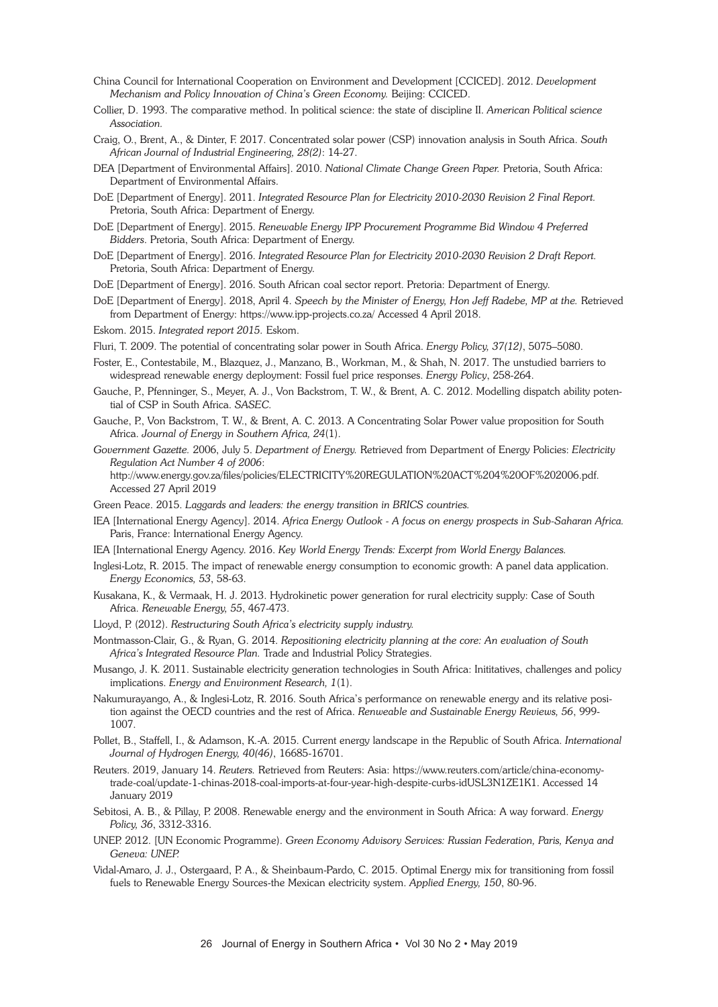- China Council for International Cooperation on Environment and Development [CCICED]. 2012. *Development Mechanism and Policy Innovation of China's Green Economy.* Beijing: CCICED.
- Collier, D. 1993. The comparative method. In political science: the state of discipline II. *American Political science Association.*
- Craig, O., Brent, A., & Dinter, F. 2017. Concentrated solar power (CSP) innovation analysis in South Africa. *South African Journal of Industrial Engineering, 28(2)*: 14-27.
- DEA [Department of Environmental Affairs]. 2010. *National Climate Change Green Paper.* Pretoria, South Africa: Department of Environmental Affairs.
- DoE [Department of Energy]. 2011. *Integrated Resource Plan for Electricity 2010-2030 Revision 2 Final Report.* Pretoria, South Africa: Department of Energy.
- DoE [Department of Energy]. 2015. *Renewable Energy IPP Procurement Programme Bid Window 4 Preferred Bidders*. Pretoria, South Africa: Department of Energy.
- DoE [Department of Energy]. 2016. *Integrated Resource Plan for Electricity 2010-2030 Revision 2 Draft Report.* Pretoria, South Africa: Department of Energy.
- DoE [Department of Energy]. 2016. South African coal sector report. Pretoria: Department of Energy.
- DoE [Department of Energy]. 2018, April 4. *Speech by the Minister of Energy, Hon Jeff Radebe, MP at the.* Retrieved from Department of Energy: https://www.ipp-projects.co.za/ Accessed 4 April 2018.
- Eskom. 2015. *Integrated report 2015.* Eskom.
- Fluri, T. 2009. The potential of concentrating solar power in South Africa. *Energy Policy, 37(12)*, 5075–5080.
- Foster, E., Contestabile, M., Blazquez, J., Manzano, B., Workman, M., & Shah, N. 2017. The unstudied barriers to widespread renewable energy deployment: Fossil fuel price responses. *Energy Policy*, 258-264.
- Gauche, P., Pfenninger, S., Meyer, A. J., Von Backstrom, T. W., & Brent, A. C. 2012. Modelling dispatch ability potential of CSP in South Africa. *SASEC.*
- Gauche, P., Von Backstrom, T. W., & Brent, A. C. 2013. A Concentrating Solar Power value proposition for South Africa. *Journal of Energy in Southern Africa, 24*(1).
- *Government Gazette.* 2006, July 5. *Department of Energy.* Retrieved from Department of Energy Policies: *Electricity Regulation Act Number 4 of 2006*:

http://www.energy.gov.za/files/policies/ELECTRICITY%20REGULATION%20ACT%204%20OF%202006.pdf. Accessed 27 April 2019

- Green Peace. 2015. *Laggards and leaders: the energy transition in BRICS countries.*
- IEA [International Energy Agency]. 2014. *Africa Energy Outlook - A focus on energy prospects in Sub-Saharan Africa.* Paris, France: International Energy Agency.
- IEA [International Energy Agency. 2016. *Key World Energy Trends: Excerpt from World Energy Balances.*
- Inglesi-Lotz, R. 2015. The impact of renewable energy consumption to economic growth: A panel data application. *Energy Economics, 53*, 58-63.
- Kusakana, K., & Vermaak, H. J. 2013. Hydrokinetic power generation for rural electricity supply: Case of South Africa. *Renewable Energy, 55*, 467-473.
- Lloyd, P. (2012). *Restructuring South Africa's electricity supply industry.*
- Montmasson-Clair, G., & Ryan, G. 2014. *Repositioning electricity planning at the core: An evaluation of South Africa's Integrated Resource Plan.* Trade and Industrial Policy Strategies.
- Musango, J. K. 2011. Sustainable electricity generation technologies in South Africa: Inititatives, challenges and policy implications. *Energy and Environment Research, 1*(1).
- Nakumurayango, A., & Inglesi-Lotz, R. 2016. South Africa's performance on renewable energy and its relative position against the OECD countries and the rest of Africa. *Renweable and Sustainable Energy Reviews, 56*, 999- 1007.
- Pollet, B., Staffell, I., & Adamson, K.-A. 2015. Current energy landscape in the Republic of South Africa. *International Journal of Hydrogen Energy, 40(46)*, 16685-16701.
- Reuters. 2019, January 14. *Reuters.* Retrieved from Reuters: Asia: https://www.reuters.com/article/china-economytrade-coal/update-1-chinas-2018-coal-imports-at-four-year-high-despite-curbs-idUSL3N1ZE1K1. Accessed 14 January 2019
- Sebitosi, A. B., & Pillay, P. 2008. Renewable energy and the environment in South Africa: A way forward. *Energy Policy, 36*, 3312-3316.
- UNEP. 2012. [UN Economic Programme). *Green Economy Advisory Services: Russian Federation, Paris, Kenya and Geneva: UNEP.*
- Vidal-Amaro, J. J., Ostergaard, P. A., & Sheinbaum-Pardo, C. 2015. Optimal Energy mix for transitioning from fossil fuels to Renewable Energy Sources-the Mexican electricity system. *Applied Energy, 150*, 80-96.